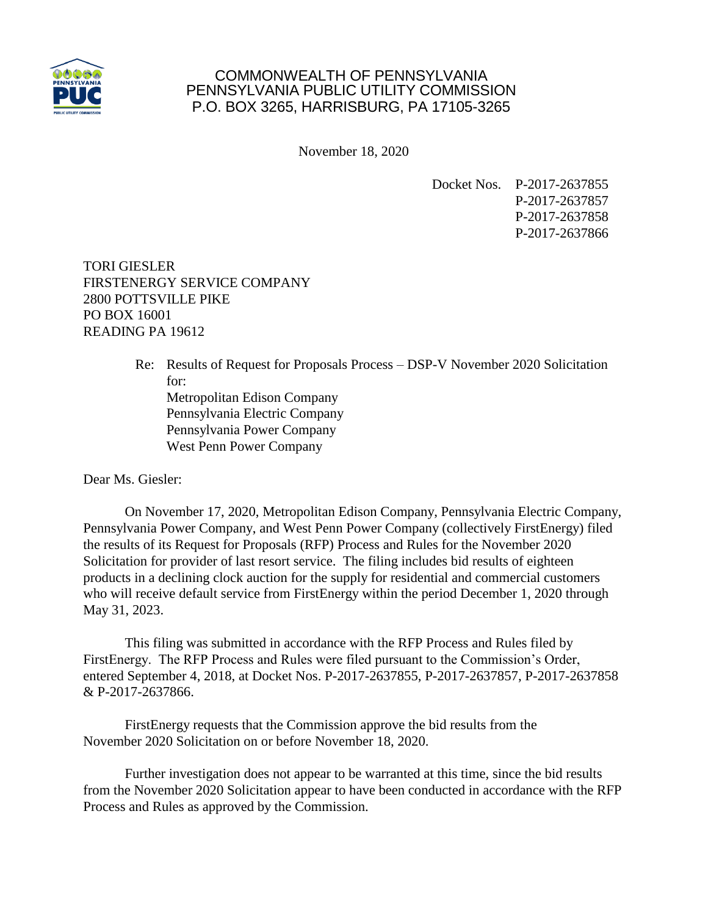

## COMMONWEALTH OF PENNSYLVANIA PENNSYLVANIA PUBLIC UTILITY COMMISSION P.O. BOX 3265, HARRISBURG, PA 17105-3265

November 18, 2020

Docket Nos. P-2017-2637855 P-2017-2637857 P-2017-2637858 P-2017-2637866

TORI GIESLER FIRSTENERGY SERVICE COMPANY 2800 POTTSVILLE PIKE PO BOX 16001 READING PA 19612

> Re: Results of Request for Proposals Process – DSP-V November 2020 Solicitation for: Metropolitan Edison Company Pennsylvania Electric Company Pennsylvania Power Company West Penn Power Company

Dear Ms. Giesler:

On November 17, 2020, Metropolitan Edison Company, Pennsylvania Electric Company, Pennsylvania Power Company, and West Penn Power Company (collectively FirstEnergy) filed the results of its Request for Proposals (RFP) Process and Rules for the November 2020 Solicitation for provider of last resort service. The filing includes bid results of eighteen products in a declining clock auction for the supply for residential and commercial customers who will receive default service from FirstEnergy within the period December 1, 2020 through May 31, 2023.

This filing was submitted in accordance with the RFP Process and Rules filed by FirstEnergy. The RFP Process and Rules were filed pursuant to the Commission's Order, entered September 4, 2018, at Docket Nos. P-2017-2637855, P-2017-2637857, P-2017-2637858 & P-2017-2637866.

FirstEnergy requests that the Commission approve the bid results from the November 2020 Solicitation on or before November 18, 2020.

Further investigation does not appear to be warranted at this time, since the bid results from the November 2020 Solicitation appear to have been conducted in accordance with the RFP Process and Rules as approved by the Commission.